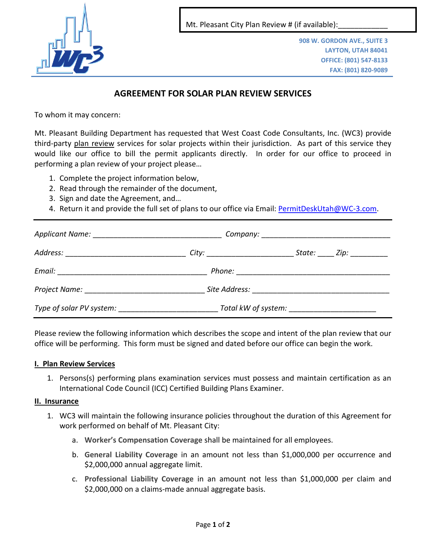

Mt. Pleasant City Plan Review # (if available):

**908 W. GORDON AVE., SUITE 3 LAYTON, UTAH 84041 OFFICE: (801) 547-8133 FAX: (801) 820-9089**

# **AGREEMENT FOR SOLAR PLAN REVIEW SERVICES**

To whom it may concern:

Mt. Pleasant Building Department has requested that West Coast Code Consultants, Inc. (WC3) provide third-party plan review services for solar projects within their jurisdiction. As part of this service they would like our office to bill the permit applicants directly. In order for our office to proceed in performing a plan review of your project please…

- 1. Complete the project information below,
- 2. Read through the remainder of the document,
- 3. Sign and date the Agreement, and…
- 4. Return it and provide the full set of plans to our office via Email: [PermitDeskUtah@WC-3.com.](mailto:PermitDeskUtah@WC-3.com)

|  | <i>City: ________________________</i> | State: __ Zip: __________ |
|--|---------------------------------------|---------------------------|
|  |                                       |                           |
|  |                                       |                           |
|  | Total kW of system: Total kW          |                           |

Please review the following information which describes the scope and intent of the plan review that our office will be performing. This form must be signed and dated before our office can begin the work.

### **I. Plan Review Services**

1. Persons(s) performing plans examination services must possess and maintain certification as an International Code Council (ICC) Certified Building Plans Examiner.

### **II. Insurance**

- 1. WC3 will maintain the following insurance policies throughout the duration of this Agreement for work performed on behalf of Mt. Pleasant City:
	- a. **Worker's Compensation Coverage** shall be maintained for all employees.
	- b. **General Liability Coverage** in an amount not less than \$1,000,000 per occurrence and \$2,000,000 annual aggregate limit.
	- c. **Professional Liability Coverage** in an amount not less than \$1,000,000 per claim and \$2,000,000 on a claims-made annual aggregate basis.